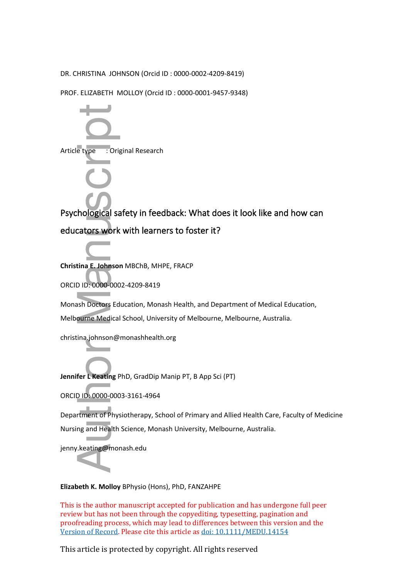DR. CHRISTINA JOHNSON (Orcid ID : 0000-0002-4209-8419)

PROF. ELIZABETH MOLLOY (Orcid ID : 0000-0001-9457-9348)



This is the author manuscript accepted for publication and has undergone full peer review but has not been through the copyediting, typesetting, pagination and proofreading process, which may lead to differences between this version and the [Version of Record.](https://doi.org/10.1111/MEDU.14154) Please cite this article as [doi: 10.1111/MEDU.14154](https://doi.org/10.1111/MEDU.14154)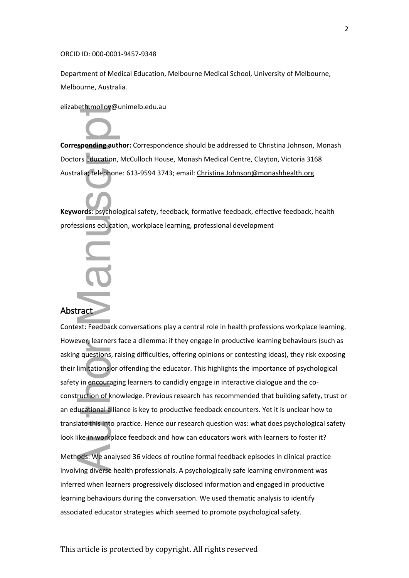### ORCID ID: 000-0001-9457-9348

Department of Medical Education, Melbourne Medical School, University of Melbourne, Melbourne, Australia.

[elizabeth.molloy@unimelb.edu.au](mailto:elizabeth.molloy@unimelb.edu.au)

**Corresponding author:** Correspondence should be addressed to Christina Johnson, Monash Doctors Education, McCulloch House, Monash Medical Centre, Clayton, Victoria 3168 Australia; telephone: 613-9594 3743; email: [Christina.Johnson@monashhealth.org](mailto:Christina.Johnson@monashhealth.org)

**Keywords**: psychological safety, feedback, formative feedback, effective feedback, health professions education, workplace learning, professional development

# Abstract

Context: Feedback conversations play a central role in health professions workplace learning. However, learners face a dilemma: if they engage in productive learning behaviours (such as asking questions, raising difficulties, offering opinions or contesting ideas), they risk exposing their limitations or offending the educator. This highlights the importance of psychological safety in encouraging learners to candidly engage in interactive dialogue and the coconstruction of knowledge. Previous research has recommended that building safety, trust or an educational alliance is key to productive feedback encounters. Yet it is unclear how to translate this into practice. Hence our research question was: what does psychological safety look like in workplace feedback and how can educators work with learners to foster it? elizabeth.mollolyerunmelb.edu.au<br> **Corresponding author:** Correspondence should be addressed to Christina John<br>Doctors Education, McCulloch House, Monash Medical Centre, Clayton, Victoria<br>
Australia, Felephone: 613-9594 37

Methods: We analysed 36 videos of routine formal feedback episodes in clinical practice involving diverse health professionals. A psychologically safe learning environment was inferred when learners progressively disclosed information and engaged in productive learning behaviours during the conversation. We used thematic analysis to identify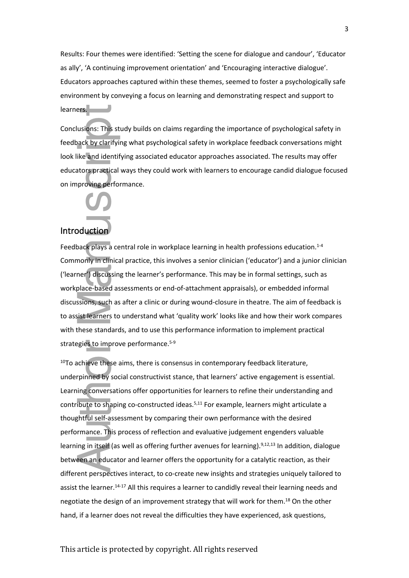Results: Four themes were identified: 'Setting the scene for dialogue and candour', 'Educator as ally', 'A continuing improvement orientation' and 'Encouraging interactive dialogue'. Educators approaches captured within these themes, seemed to foster a psychologically safe environment by conveying a focus on learning and demonstrating respect and support to learners.

Conclusions: This study builds on claims regarding the importance of psychological safety in feedback by clarifying what psychological safety in workplace feedback conversations might look like and identifying associated educator approaches associated. The results may offer educators practical ways they could work with learners to encourage candid dialogue focused on improving performance.

## Introduction

Feedback plays a central role in workplace learning in health professions education.<sup>1-4</sup> Commonly in clinical practice, this involves a senior clinician ('educator') and a junior clinician ('learner') discussing the learner's performance. This may be in formal settings, such as workplace-based assessments or end-of-attachment appraisals), or embedded informal discussions, such as after a clinic or during wound-closure in theatre. The aim of feedback is to assist learners to understand what 'quality work' looks like and how their work compares with these standards, and to use this performance information to implement practical strategies to improve performance.<sup>5-9</sup>

 $10$ To achieve these aims, there is consensus in contemporary feedback literature, underpinned by social constructivist stance, that learners' active engagement is essential. Learning conversations offer opportunities for learners to refine their understanding and contribute to shaping co-constructed ideas.<sup>5,11</sup> For example, learners might articulate a thoughtful self-assessment by comparing their own performance with the desired performance. This process of reflection and evaluative judgement engenders valuable learning in itself (as well as offering further avenues for learning).<sup>9,12,13</sup> In addition, dialogue between an educator and learner offers the opportunity for a catalytic reaction, as their different perspectives interact, to co-create new insights and strategies uniquely tailored to assist the learner.14-17 All this requires a learner to candidly reveal their learning needs and negotiate the design of an improvement strategy that will work for them.<sup>18</sup> On the other iearners<br>Conclusions: This study builds on claims regarding the importance of psychological safe<br>Conclusions: This study builds on claims regarding the importance of psychological safe<br>freedback paralysim what psychologica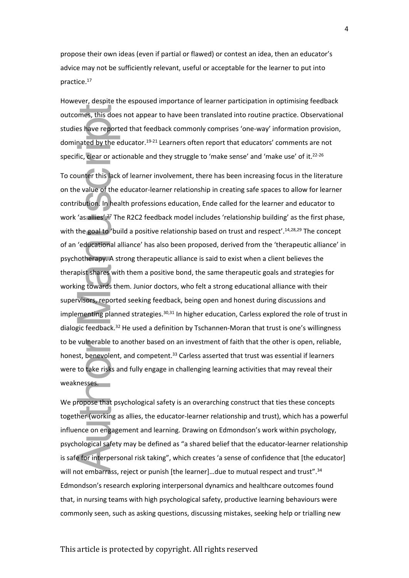propose their own ideas (even if partial or flawed) or contest an idea, then an educator's advice may not be sufficiently relevant, useful or acceptable for the learner to put into practice.<sup>17</sup>

However, despite the espoused importance of learner participation in optimising feedback outcomes, this does not appear to have been translated into routine practice. Observational studies have reported that feedback commonly comprises 'one-way' information provision, dominated by the educator.<sup>19-21</sup> Learners often report that educators' comments are not specific, clear or actionable and they struggle to 'make sense' and 'make use' of it.<sup>22-26</sup>

To counter this lack of learner involvement, there has been increasing focus in the literature on the value of the educator-learner relationship in creating safe spaces to allow for learner contribution. In health professions education, Ende called for the learner and educator to work 'as allies'.<sup>27</sup> The R2C2 feedback model includes 'relationship building' as the first phase, with the goal to 'build a positive relationship based on trust and respect'.<sup>14,28,29</sup> The concept of an 'educational alliance' has also been proposed, derived from the 'therapeutic alliance' in psychotherapy. A strong therapeutic alliance is said to exist when a client believes the therapist shares with them a positive bond, the same therapeutic goals and strategies for working towards them. Junior doctors, who felt a strong educational alliance with their supervisors, reported seeking feedback, being open and honest during discussions and implementing planned strategies.<sup>30,31</sup> In higher education, Carless explored the role of trust in dialogic feedback.<sup>32</sup> He used a definition by Tschannen-Moran that trust is one's willingness to be vulnerable to another based on an investment of faith that the other is open, reliable, honest, benevolent, and competent.<sup>33</sup> Carless asserted that trust was essential if learners were to take risks and fully engage in challenging learning activities that may reveal their weaknesses. outcomes, this does not appear to have been translated into coutine practice. Observations<br>studies have regorited that feedback commonly comprises 'one-way' information provision,<br>dominated by the educator-<sup>20</sup> <sup>21</sup> is tar

We propose that psychological safety is an overarching construct that ties these concepts together (working as allies, the educator-learner relationship and trust), which has a powerful influence on engagement and learning. Drawing on Edmondson's work within psychology, psychological safety may be defined as "a shared belief that the educator-learner relationship is safe for interpersonal risk taking", which creates 'a sense of confidence that [the educator] will not embarrass, reject or punish [the learner]...due to mutual respect and trust".<sup>34</sup> Edmondson's research exploring interpersonal dynamics and healthcare outcomes found that, in nursing teams with high psychological safety, productive learning behaviours were

4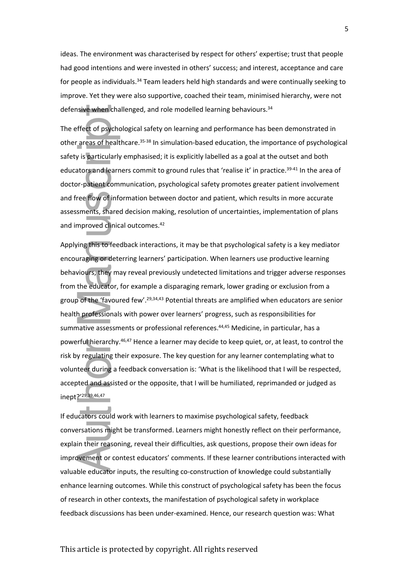ideas. The environment was characterised by respect for others' expertise; trust that people had good intentions and were invested in others' success; and interest, acceptance and care for people as individuals.<sup>34</sup> Team leaders held high standards and were continually seeking to improve. Yet they were also supportive, coached their team, minimised hierarchy, were not defensive when challenged, and role modelled learning behaviours.<sup>34</sup>

The effect of psychological safety on learning and performance has been demonstrated in other areas of healthcare.<sup>35-38</sup> In simulation-based education, the importance of psychological safety is particularly emphasised; it is explicitly labelled as a goal at the outset and both educators and learners commit to ground rules that 'realise it' in practice.<sup>39-41</sup> In the area of doctor-patient communication, psychological safety promotes greater patient involvement and free flow of information between doctor and patient, which results in more accurate assessments, shared decision making, resolution of uncertainties, implementation of plans and improved clinical outcomes.<sup>42</sup>

Applying this to feedback interactions, it may be that psychological safety is a key mediator encouraging or deterring learners' participation. When learners use productive learning behaviours, they may reveal previously undetected limitations and trigger adverse responses from the educator, for example a disparaging remark, lower grading or exclusion from a group of the 'favoured few'.29,34,43 Potential threats are amplified when educators are senior health professionals with power over learners' progress, such as responsibilities for summative assessments or professional references.<sup>44,45</sup> Medicine, in particular, has a powerful hierarchy.46,47 Hence a learner may decide to keep quiet, or, at least, to control the risk by regulating their exposure. The key question for any learner contemplating what to volunteer during a feedback conversation is: 'What is the likelihood that I will be respected, accepted and assisted or the opposite, that I will be humiliated, reprimanded or judged as inept?'29,39,46,47 defensive when challenged, and role modelled learning behaviours.<sup>34</sup><br>The effect of psychological safely on learning and performance has been demonstrated in<br>the firesa. of healthcare  $r^{2\alpha}$  in simulation-based elucation

If educators could work with learners to maximise psychological safety, feedback conversations might be transformed. Learners might honestly reflect on their performance, explain their reasoning, reveal their difficulties, ask questions, propose their own ideas for improvement or contest educators' comments. If these learner contributions interacted with valuable educator inputs, the resulting co-construction of knowledge could substantially enhance learning outcomes. While this construct of psychological safety has been the focus of research in other contexts, the manifestation of psychological safety in workplace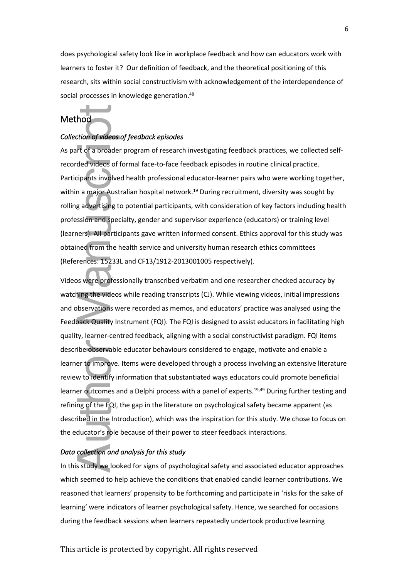does psychological safety look like in workplace feedback and how can educators work with learners to foster it? Our definition of feedback, and the theoretical positioning of this research, sits within social constructivism with acknowledgement of the interdependence of social processes in knowledge generation.<sup>48</sup>

# Method

### *Collection of videos of feedback episodes*

As part of a broader program of research investigating feedback practices, we collected selfrecorded videos of formal face-to-face feedback episodes in routine clinical practice. Participants involved health professional educator-learner pairs who were working together, within a major Australian hospital network.<sup>19</sup> During recruitment, diversity was sought by rolling advertising to potential participants, with consideration of key factors including health profession and specialty, gender and supervisor experience (educators) or training level (learners). All participants gave written informed consent. Ethics approval for this study was obtained from the health service and university human research ethics committees (References: 15233L and CF13/1912-2013001005 respectively).

Videos were professionally transcribed verbatim and one researcher checked accuracy by watching the videos while reading transcripts (CJ). While viewing videos, initial impressions and observations were recorded as memos, and educators' practice was analysed using the Feedback Quality Instrument (FQI). The FQI is designed to assist educators in facilitating high quality, learner-centred feedback, aligning with a social constructivist paradigm. FQI items describe observable educator behaviours considered to engage, motivate and enable a learner to improve. Items were developed through a process involving an extensive literature review to identify information that substantiated ways educators could promote beneficial learner outcomes and a Delphi process with a panel of experts.<sup>19,49</sup> During further testing and refining of the FQI, the gap in the literature on psychological safety became apparent (as described in the Introduction), which was the inspiration for this study. We chose to focus on the educator's role because of their power to steer feedback interactions. **Method**<br>Collection of videosof freedback episodes<br>Separation and the feedback seriestigating feedback practices, we collected<br>recorded videos of tormal face-to-face freedback episodes in routine clinical practice.<br>Freedoc

### *Data collection and analysis for this study*

In this study we looked for signs of psychological safety and associated educator approaches which seemed to help achieve the conditions that enabled candid learner contributions. We reasoned that learners' propensity to be forthcoming and participate in 'risks for the sake of learning' were indicators of learner psychological safety. Hence, we searched for occasions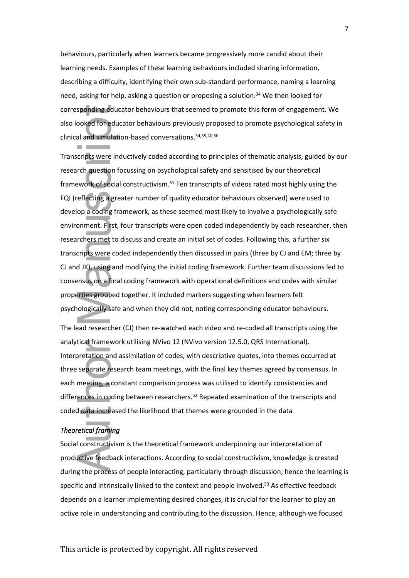behaviours, particularly when learners became progressively more candid about their learning needs. Examples of these learning behaviours included sharing information, describing a difficulty, identifying their own sub-standard performance, naming a learning need, asking for help, asking a question or proposing a solution.<sup>34</sup> We then looked for corresponding educator behaviours that seemed to promote this form of engagement. We also looked for educator behaviours previously proposed to promote psychological safety in clinical and simulation-based conversations.34,39,40,50

Transcripts were inductively coded according to principles of thematic analysis, guided by our research question focussing on psychological safety and sensitised by our theoretical framework of social constructivism.<sup>51</sup> Ten transcripts of videos rated most highly using the FQI (reflecting a greater number of quality educator behaviours observed) were used to develop a coding framework, as these seemed most likely to involve a psychologically safe environment. First, four transcripts were open coded independently by each researcher, then researchers met to discuss and create an initial set of codes. Following this, a further six transcripts were coded independently then discussed in pairs (three by CJ and EM; three by CJ and JK), using and modifying the initial coding framework. Further team discussions led to consensus on a final coding framework with operational definitions and codes with similar properties grouped together. It included markers suggesting when learners felt psychologically safe and when they did not, noting corresponding educator behaviours. corresponding educator behaviours that seemed to promote this form of engagement. We<br>also looked foreeducator behaviours previously proposed to promote psychological safety in<br>divided and simulation-based conversations,<sup>24</sup>

The lead researcher (CJ) then re-watched each video and re-coded all transcripts using the analytical framework utilising NVivo 12 (NVivo version 12.5.0, QRS International). Interpretation and assimilation of codes, with descriptive quotes, into themes occurred at three separate research team meetings, with the final key themes agreed by consensus. In each meeting, a constant comparison process was utilised to identify consistencies and differences in coding between researchers.<sup>52</sup> Repeated examination of the transcripts and coded data increased the likelihood that themes were grounded in the data.

### *Theoretical framing*

Social constructivism is the theoretical framework underpinning our interpretation of productive feedback interactions. According to social constructivism, knowledge is created during the process of people interacting, particularly through discussion; hence the learning is specific and intrinsically linked to the context and people involved.<sup>53</sup> As effective feedback depends on a learner implementing desired changes, it is crucial for the learner to play an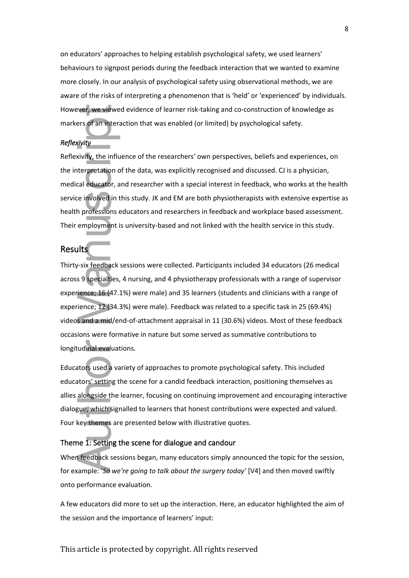on educators' approaches to helping establish psychological safety, we used learners' behaviours to signpost periods during the feedback interaction that we wanted to examine more closely. In our analysis of psychological safety using observational methods, we are aware of the risks of interpreting a phenomenon that is 'held' or 'experienced' by individuals. However, we viewed evidence of learner risk-taking and co-construction of knowledge as markers of an interaction that was enabled (or limited) by psychological safety.

### *Reflexivity*

Reflexivity, the influence of the researchers' own perspectives, beliefs and experiences, on the interpretation of the data, was explicitly recognised and discussed. CJ is a physician, medical educator, and researcher with a special interest in feedback, who works at the health service involved in this study. JK and EM are both physiotherapists with extensive expertise as health professions educators and researchers in feedback and workplace based assessment. Their employment is university-based and not linked with the health service in this study.

### Results

Thirty-six feedback sessions were collected. Participants included 34 educators (26 medical across 9 specialties, 4 nursing, and 4 physiotherapy professionals with a range of supervisor experience; 16 (47.1%) were male) and 35 learners (students and clinicians with a range of experience; 12 (34.3%) were male). Feedback was related to a specific task in 25 (69.4%) videos and a mid/end-of-attachment appraisal in 11 (30.6%) videos. Most of these feedback occasions were formative in nature but some served as summative contributions to longitudinal evaluations. However, we viewed evidence of learner risk-takind<br>markers of an interaction that was enabled (or lim<br>Reflexivity, the influence of the researchers' own<br>the interpretation of the data, was explicitly recog<br>medical educator

Educators used a variety of approaches to promote psychological safety. This included educators' setting the scene for a candid feedback interaction, positioning themselves as allies alongside the learner, focusing on continuing improvement and encouraging interactive dialogue, which signalled to learners that honest contributions were expected and valued. Four key themes are presented below with illustrative quotes.

### Theme 1: Setting the scene for dialogue and candour

When feedback sessions began, many educators simply announced the topic for the session, for example: '*So we're going to talk about the surgery today'* [V4] and then moved swiftly onto performance evaluation.

A few educators did more to set up the interaction. Here, an educator highlighted the aim of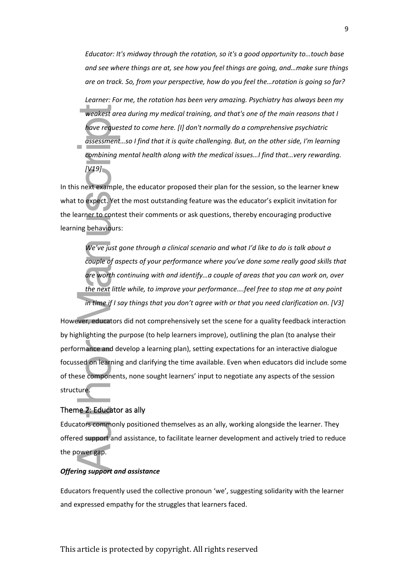*Educator: It's midway through the rotation, so it's a good opportunity to…touch base and see where things are at, see how you feel things are going, and…make sure things are on track. So, from your perspective, how do you feel the…rotation is going so far? Learner: For me, the rotation has been very amazing. Psychiatry has always been my weakest area during my medical training, and that's one of the main reasons that I have requested to come here. [I] don't normally do a comprehensive psychiatric assessment…so I find that it is quite challenging. But, on the other side, I'm learning combining mental health along with the medical issues…I find that…very rewarding. [V19]*

In this next example, the educator proposed their plan for the session, so the learner knew what to expect. Yet the most outstanding feature was the educator's explicit invitation for the learner to contest their comments or ask questions, thereby encouraging productive learning behaviours:

*We've just gone through a clinical scenario and what I'd like to do is talk about a couple of aspects of your performance where you've done some really good skills that are worth continuing with and identify…a couple of areas that you can work on, over the next little while, to improve your performance….feel free to stop me at any point in time if I say things that you don't agree with or that you need clarification on. [V3]* 

However, educators did not comprehensively set the scene for a quality feedback interaction by highlighting the purpose (to help learners improve), outlining the plan (to analyse their performance and develop a learning plan), setting expectations for an interactive dialogue focussed on learning and clarifying the time available. Even when educators did include some of these components, none sought learners' input to negotiate any aspects of the session structure. weakest area during my medical training, and that's<br>
thowe requested to come here. [1] don't normally do a a<br>
dissessment...so I find that it is quite challenging. But,<br>
combining mental health along with the medical issue

### Theme 2: Educator as ally

Educators commonly positioned themselves as an ally, working alongside the learner. They offered support and assistance, to facilitate learner development and actively tried to reduce the power gap.

### *Offering support and assistance*

Educators frequently used the collective pronoun 'we', suggesting solidarity with the learner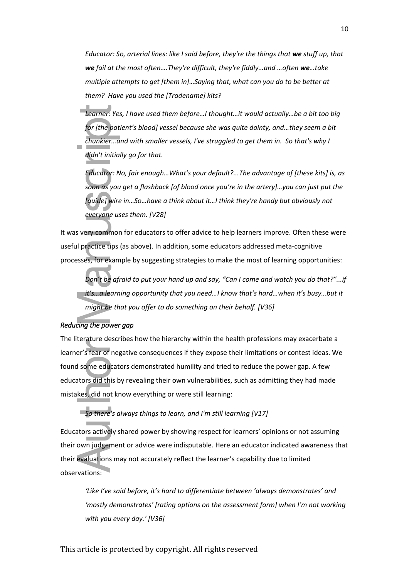*Educator: So, arterial lines: like I said before, they're the things that we stuff up, that we fail at the most often….They're difficult, they're fiddly…and …often we…take multiple attempts to get [them in]…Saying that, what can you do to be better at them? Have you used the [Tradename] kits?*

*Learner: Yes, I have used them before…I thought…it would actually…be a bit too big for [the patient's blood] vessel because she was quite dainty, and…they seem a bit chunkier…and with smaller vessels, I've struggled to get them in. So that's why I didn't initially go for that.*

*Educator: No, fair enough…What's your default?...The advantage of [these kits] is, as soon as you get a flashback [of blood once you're in the artery]…you can just put the [guide] wire in…So…have a think about it…I think they're handy but obviously not everyone uses them. [V28]*

It was very common for educators to offer advice to help learners improve. Often these were useful practice tips (as above). In addition, some educators addressed meta-cognitive processes, for example by suggesting strategies to make the most of learning opportunities:

*Don't be afraid to put your hand up and say, "Can I come and watch you do that?"...if it's…a learning opportunity that you need…I know that's hard…when it's busy…but it might be that you offer to do something on their behalf. [V36]* 

### *Reducing the power gap*

The literature describes how the hierarchy within the health professions may exacerbate a learner's fear of negative consequences if they expose their limitations or contest ideas. We found some educators demonstrated humility and tried to reduce the power gap. A few educators did this by revealing their own vulnerabilities, such as admitting they had made mistakes, did not know everything or were still learning: **Learner:** Yes, *I* have used t<br>for [the patient's blood] ve<br>chunkier...and with smalle<br>didn't initially go for that.<br>Educator: No, fair enough<br>soon as you get a flashbac<br>(guide) wire in...So...have i<br>everyone uses them. [

### *So there's always things to learn, and I'm still learning [V17]*

Educators actively shared power by showing respect for learners' opinions or not assuming their own judgement or advice were indisputable. Here an educator indicated awareness that their evaluations may not accurately reflect the learner's capability due to limited observations:

*'Like I've said before, it's hard to differentiate between 'always demonstrates' and 'mostly demonstrates' [rating options on the assessment form] when I'm not working* 

### 10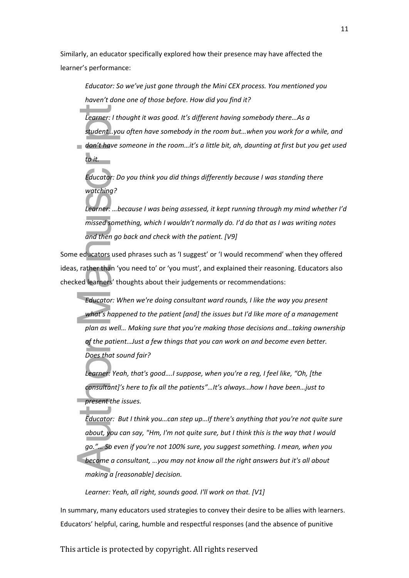Similarly, an educator specifically explored how their presence may have affected the learner's performance:

*Educator: So we've just gone through the Mini CEX process. You mentioned you haven't done one of those before. How did you find it?*

*Learner: I thought it was good. It's different having somebody there…As a student…you often have somebody in the room but…when you work for a while, and* 

*don't have someone in the room…it's a little bit, ah, daunting at first but you get used to it.* 

*Educator: Do you think you did things differently because I was standing there watching?*

*Learner: …because I was being assessed, it kept running through my mind whether I'd missed something, which I wouldn't normally do. I'd do that as I was writing notes and then go back and check with the patient. [V9]*

Some educators used phrases such as 'I suggest' or 'I would recommend' when they offered ideas, rather than 'you need to' or 'you must', and explained their reasoning. Educators also checked learners' thoughts about their judgements or recommendations:

*Educator: When we're doing consultant ward rounds, I like the way you present what's happened to the patient [and] the issues but I'd like more of a management plan as well… Making sure that you're making those decisions and…taking ownership of the patient…Just a few things that you can work on and become even better. Does that sound fair?*

*Learner: Yeah, that's good….I suppose, when you're a reg, I feel like, "Oh, [the consultant]'s here to fix all the patients"…It's always…how I have been…just to present the issues.*

*Educator: But I think you…can step up…If there's anything that you're not quite sure about, you can say, "Hm, I'm not quite sure, but I think this is the way that I would go."… So even if you're not 100% sure, you suggest something. I mean, when you become a consultant, …you may not know all the right answers but it's all about making a [reasonable] decision.* Exametric thought It was good. It's different having somebody there...As a<br>student. you often have somebody in the room...tiving you work for a while, a<br>dank have someone in the room...it's a little bit, ab, dounting af fi

*Learner: Yeah, all right, sounds good. I'll work on that. [V1]*

In summary, many educators used strategies to convey their desire to be allies with learners.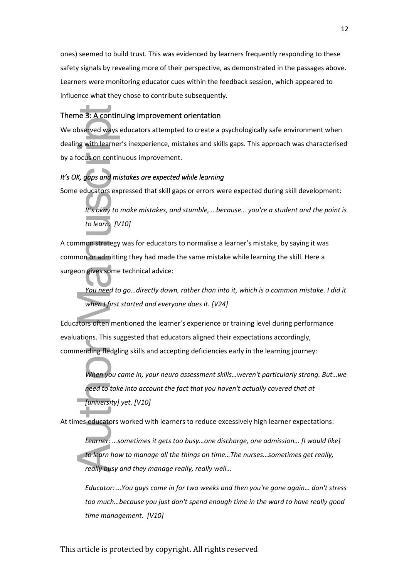ones) seemed to build trust. This was evidenced by learners frequently responding to these safety signals by revealing more of their perspective, as demonstrated in the passages above. Learners were monitoring educator cues within the feedback session, which appeared to influence what they chose to contribute subsequently.

### Theme 3: A continuing improvement orientation

We observed ways educators attempted to create a psychologically safe environment when dealing with learner's inexperience, mistakes and skills gaps. This approach was characterised by a focus on continuous improvement. **the 3: A continuing improve**<br> **the served ways educators atterg with learner's inexperience**<br> **tocus on continuous improve**<br> **K, gaps and mistakes are exp**<br> **educators expressed that sl**<br> **to learn.** [V10]<br> **to learn.** [V

### *It's OK, gaps and mistakes are expected while learning*

Some educators expressed that skill gaps or errors were expected during skill development:

*It's okay to make mistakes, and stumble, …because… you're a student and the point is to learn. [V10]* 

A common strategy was for educators to normalise a learner's mistake, by saying it was common or admitting they had made the same mistake while learning the skill. Here a surgeon gives some technical advice:

*You need to go…directly down, rather than into it, which is a common mistake. I did it when I first started and everyone does it. [V24]*

Educators often mentioned the learner's experience or training level during performance evaluations. This suggested that educators aligned their expectations accordingly, commending fledgling skills and accepting deficiencies early in the learning journey:

*When you came in, your neuro assessment skills…weren't particularly strong. But…we need to take into account the fact that you haven't actually covered that at [university] yet. [V10]* 

At times educators worked with learners to reduce excessively high learner expectations:

*Learner: …sometimes it gets too busy…one discharge, one admission… [I would like] to learn how to manage all the things on time…The nurses…sometimes get really, really busy and they manage really, really well…* 

*Educator: …You guys come in for two weeks and then you're gone again… don't stress too much…because you just don't spend enough time in the ward to have really good*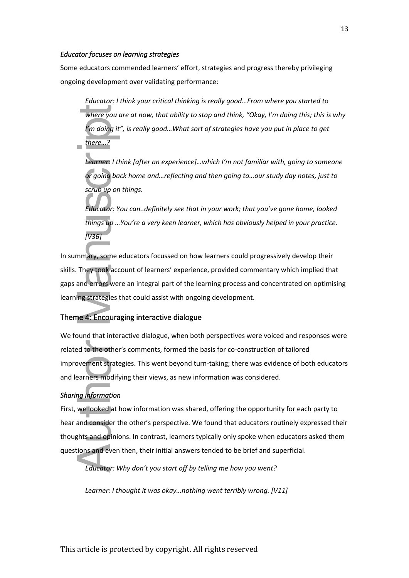### *Educator focuses on learning strategies*

Some educators commended learners' effort, strategies and progress thereby privileging ongoing development over validating performance:

*Educator: I think your critical thinking is really good…From where you started to where you are at now, that ability to stop and think, "Okay, I'm doing this; this is why I'm doing it", is really good…What sort of strategies have you put in place to get there…?* 

*Learner: I think [after an experience]…which I'm not familiar with, going to someone or going back home and…reflecting and then going to…our study day notes, just to scrub up on things.*

*Educator: You can..definitely see that in your work; that you've gone home, looked things up …You're a very keen learner, which has obviously helped in your practice. [V36]* 

In summary, some educators focussed on how learners could progressively develop their skills. They took account of learners' experience, provided commentary which implied that gaps and errors were an integral part of the learning process and concentrated on optimising learning strategies that could assist with ongoing development. *Learner you are at now, that ability to stop and think, "Okay, I'm doint and the mem? I think [after an experience]...which I'm not familiar with, for going back home and...reflecting and then going to...our study of stra* 

### Theme 4: Encouraging interactive dialogue

We found that interactive dialogue, when both perspectives were voiced and responses were related to the other's comments, formed the basis for co-construction of tailored improvement strategies. This went beyond turn-taking; there was evidence of both educators and learners modifying their views, as new information was considered.

### *Sharing information*

First, we looked at how information was shared, offering the opportunity for each party to hear and consider the other's perspective. We found that educators routinely expressed their thoughts and opinions. In contrast, learners typically only spoke when educators asked them questions and even then, their initial answers tended to be brief and superficial.

*Educator: Why don't you start off by telling me how you went?*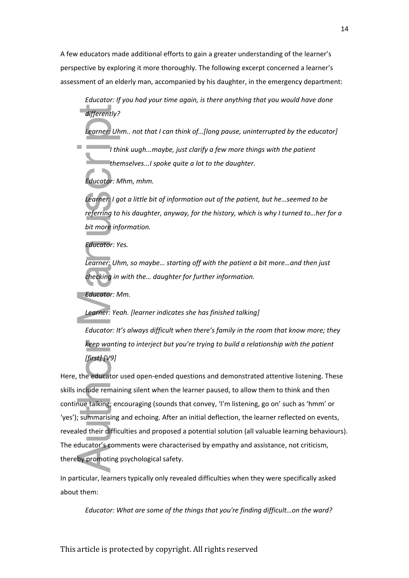A few educators made additional efforts to gain a greater understanding of the learner's perspective by exploring it more thoroughly. The following excerpt concerned a learner's assessment of an elderly man, accompanied by his daughter, in the emergency department:

*Educator: If you had your time again, is there anything that you would have done differently?* 

*Learner: Uhm.. not that I can think of…[long pause, uninterrupted by the educator]*

*I think uugh...maybe, just clarify a few more things with the patient themselves...I spoke quite a lot to the daughter.*

*Educator: Mhm, mhm.* 

*Learner: I got a little bit of information out of the patient, but he…seemed to be referring to his daughter, anyway, for the history, which is why I turned to…her for a bit more information.*

*Educator: Yes.*

*Learner: Uhm, so maybe… starting off with the patient a bit more…and then just checking in with the… daughter for further information.*

*Educator: Mm.*

*Learner: Yeah. [learner indicates she has finished talking]* 

*Educator: It's always difficult when there's family in the room that know more; they keep wanting to interject but you're trying to build a relationship with the patient [first] [V9]*

Here, the educator used open-ended questions and demonstrated attentive listening. These skills include remaining silent when the learner paused, to allow them to think and then continue talking; encouraging (sounds that convey, 'I'm listening, go on' such as 'hmm' or 'yes'); summarising and echoing. After an initial deflection, the learner reflected on events, revealed their difficulties and proposed a potential solution (all valuable learning behaviours). The educator's comments were characterised by empathy and assistance, not criticism, thereby promoting psychological safety. **Entimate of the things that are some of the things that you're finding difficult...or the things that you are some of things with the patient themselves....! spoke quite a lot to the doughter.<br>
<b>Educator:** Mhm, mhm.<br> **Edu** 

In particular, learners typically only revealed difficulties when they were specifically asked about them: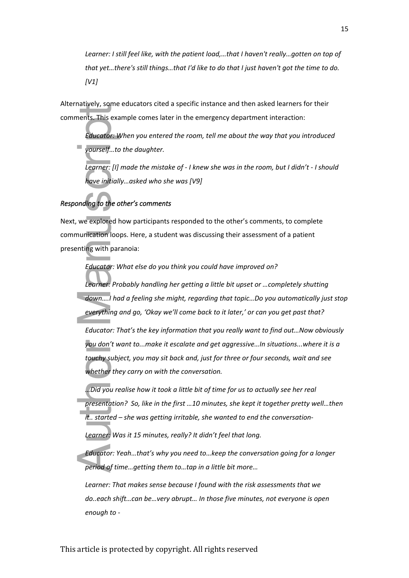*Learner: I still feel like, with the patient load,…that I haven't really…gotten on top of that yet…there's still things…that I'd like to do that I just haven't got the time to do. [V1]*

Alternatively, some educators cited a specific instance and then asked learners for their comments. This example comes later in the emergency department interaction:

*Educator: When you entered the room, tell me about the way that you introduced yourself…to the daughter.* 

*Learner: [I] made the mistake of - I knew she was in the room, but I didn't - I should have initially…asked who she was [V9]*

### *Responding to the other's comments*

Next, we explored how participants responded to the other's comments, to complete communication loops. Here, a student was discussing their assessment of a patient presenting with paranoia:

*Educator: What else do you think you could have improved on?*

*Learner: Probably handling her getting a little bit upset or …completely shutting down….I had a feeling she might, regarding that topic…Do you automatically just stop everything and go, 'Okay we'll come back to it later,' or can you get past that?*

*Educator: That's the key information that you really want to find out…Now obviously you don't want to...make it escalate and get aggressive…In situations...where it is a touchy subject, you may sit back and, just for three or four seconds, wait and see whether they carry on with the conversation.* rativery, some<br>
nents. This exa<br> *Educator: V*<br>
yourself...tc<br>
Learner: [I]<br>
have initiall<br>
anding to the o<br>
we explored r<br>
nunication loo<br>
nunication loo<br>
nunication loo<br> *Educator: V*<br>
Learner: Pr<br>
down....l ha<br>
everythi

*…Did you realise how it took a little bit of time for us to actually see her real presentation? So, like in the first …10 minutes, she kept it together pretty well…then it.. started – she was getting irritable, she wanted to end the conversation-*

*Learner: Was it 15 minutes, really? It didn't feel that long.*

*Educator: Yeah…that's why you need to…keep the conversation going for a longer period of time…getting them to…tap in a little bit more…*

*Learner: That makes sense because I found with the risk assessments that we do..each shift…can be…very abrupt… In those five minutes, not everyone is open*  enough to -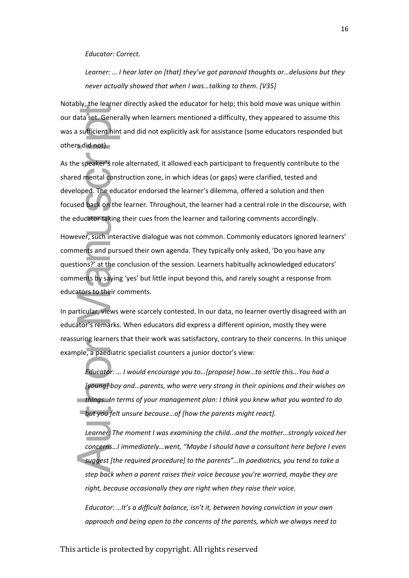*Educator: Correct.* 

*Learner: … I hear later on [that] they've got paranoid thoughts or…delusions but they never actually showed that when I was…talking to them. [V35]*

Notably, the learner directly asked the educator for help; this bold move was unique within our data set. Generally when learners mentioned a difficulty, they appeared to assume this was a sufficient hint and did not explicitly ask for assistance (some educators responded but others did not).

As the speaker's role alternated, it allowed each participant to frequently contribute to the shared mental construction zone, in which ideas (or gaps) were clarified, tested and developed. The educator endorsed the learner's dilemma, offered a solution and then focused back on the learner. Throughout, the learner had a central role in the discourse, with the educator taking their cues from the learner and tailoring comments accordingly. However, such interactive dialogue was not common. Commonly educators ignored learners' comments and pursued their own agenda. They typically only asked, 'Do you have any questions?' at the conclusion of the session. Learners habitually acknowledged educators' comments by saying 'yes' but little input beyond this, and rarely sought a response from educators to their comments. **any are more to the concerns of the concerns of the concerns of the concerns of the concerns of the concerns of the parents, which we always need to assume this sufficient hint and did not explicitly ask for assistance (s** 

In particular, views were scarcely contested. In our data, no learner overtly disagreed with an educator's remarks. When educators did express a different opinion, mostly they were reassuring learners that their work was satisfactory, contrary to their concerns. In this unique example, a paediatric specialist counters a junior doctor's view:

*Educator: … I would encourage you to…[propose] how…to settle this...You had a [young] boy and…parents, who were very strong in their opinions and their wishes on things…In terms of your management plan: I think you knew what you wanted to do but you felt unsure because…of [how the parents might react].* 

*Learner: The moment I was examining the child...and the mother…strongly voiced her concerns…I immediately…went, "Maybe I should have a consultant here before I even suggest [the required procedure] to the parents"…In paediatrics, you tend to take a step back when a parent raises their voice because you're worried, maybe they are right, because occasionally they are right when they raise their voice.* 

*Educator: …It's a difficult balance, isn't it, between having conviction in your own*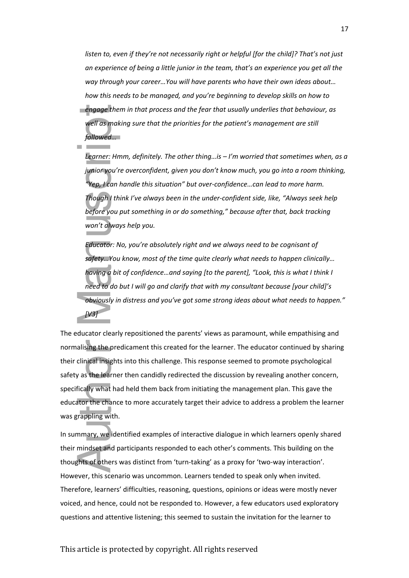*listen to, even if they're not necessarily right or helpful [for the child]? That's not just an experience of being a little junior in the team, that's an experience you get all the way through your career…You will have parents who have their own ideas about… how this needs to be managed, and you're beginning to develop skills on how to engage them in that process and the fear that usually underlies that behaviour, as well as making sure that the priorities for the patient's management are still followed…* 

*Learner: Hmm, definitely. The other thing…is – I'm worried that sometimes when, as a junior you're overconfident, given you don't know much, you go into a room thinking, "Yep, I can handle this situation" but over-confidence…can lead to more harm. Though I think I've always been in the under-confident side, like, "Always seek help before you put something in or do something," because after that, back tracking won't always help you.* 

*Educator: No, you're absolutely right and we always need to be cognisant of safety…You know, most of the time quite clearly what needs to happen clinically… having a bit of confidence…and saying [to the parent], "Look, this is what I think I need to do but I will go and clarify that with my consultant because [your child]'s obviously in distress and you've got some strong ideas about what needs to happen." [V3]* 

The educator clearly repositioned the parents' views as paramount, while empathising and normalising the predicament this created for the learner. The educator continued by sharing their clinical insights into this challenge. This response seemed to promote psychological safety as the learner then candidly redirected the discussion by revealing another concern, specifically what had held them back from initiating the management plan. This gave the educator the chance to more accurately target their advice to address a problem the learner was grappling with.

In summary, we identified examples of interactive dialogue in which learners openly shared their mindset and participants responded to each other's comments. This building on the thoughts of others was distinct from 'turn-taking' as a proxy for 'two-way interaction'. However, this scenario was uncommon. Learners tended to speak only when invited. Therefore, learners' difficulties, reasoning, questions, opinions or ideas were mostly never voiced, and hence, could not be responded to. However, a few educators used exploratory engage them in that process ond the fear that usually underlies that behaviour, we can be also that the priorities for the patient's management are still<br>
pollowed:<br>
Fullamer: Hmm, definitely. The other thing...Is – I'm wo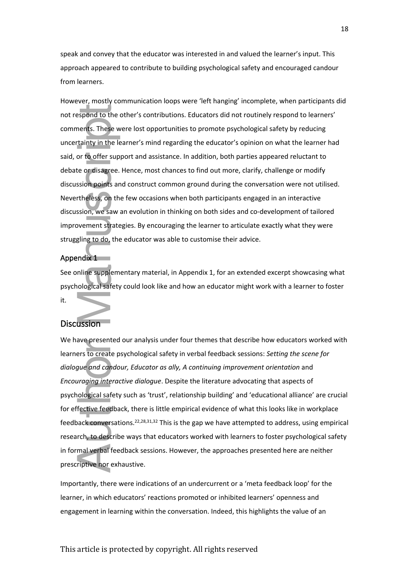speak and convey that the educator was interested in and valued the learner's input. This approach appeared to contribute to building psychological safety and encouraged candour from learners.

However, mostly communication loops were 'left hanging' incomplete, when participants did not respond to the other's contributions. Educators did not routinely respond to learners' comments. These were lost opportunities to promote psychological safety by reducing uncertainty in the learner's mind regarding the educator's opinion on what the learner had said, or to offer support and assistance. In addition, both parties appeared reluctant to debate or disagree. Hence, most chances to find out more, clarify, challenge or modify discussion points and construct common ground during the conversation were not utilised. Nevertheless, on the few occasions when both participants engaged in an interactive discussion, we saw an evolution in thinking on both sides and co-development of tailored improvement strategies. By encouraging the learner to articulate exactly what they were struggling to do, the educator was able to customise their advice. not respond to the other's contributions. Educators did not routinely respond to learner<br>comments. These were lost opportunities to promote psychological safety by reducing<br>antergahity in the learner's mind regarding the e

### Appendix 1

See online supplementary material, in Appendix 1, for an extended excerpt showcasing what psychological safety could look like and how an educator might work with a learner to foster it.

### **Discussion**

We have presented our analysis under four themes that describe how educators worked with learners to create psychological safety in verbal feedback sessions: *Setting the scene for dialogue and candour, Educator as ally, A continuing improvement orientation* and *Encouraging interactive dialogue*. Despite the literature advocating that aspects of psychological safety such as 'trust', relationship building' and 'educational alliance' are crucial for effective feedback, there is little empirical evidence of what this looks like in workplace feedback conversations.22,28,31,32 This is the gap we have attempted to address, using empirical research, to describe ways that educators worked with learners to foster psychological safety in formal verbal feedback sessions. However, the approaches presented here are neither prescriptive nor exhaustive.

Importantly, there were indications of an undercurrent or a 'meta feedback loop' for the learner, in which educators' reactions promoted or inhibited learners' openness and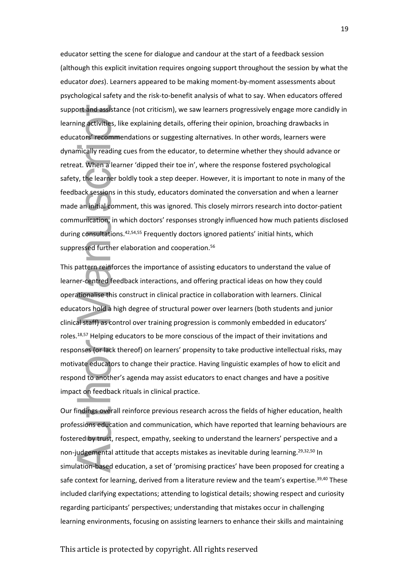educator setting the scene for dialogue and candour at the start of a feedback session (although this explicit invitation requires ongoing support throughout the session by what the educator *does*). Learners appeared to be making moment-by-moment assessments about psychological safety and the risk-to-benefit analysis of what to say. When educators offered support and assistance (not criticism), we saw learners progressively engage more candidly in learning activities, like explaining details, offering their opinion, broaching drawbacks in educators' recommendations or suggesting alternatives. In other words, learners were dynamically reading cues from the educator, to determine whether they should advance or retreat. When a learner 'dipped their toe in', where the response fostered psychological safety, the learner boldly took a step deeper. However, it is important to note in many of the feedback sessions in this study, educators dominated the conversation and when a learner made an initial comment, this was ignored. This closely mirrors research into doctor-patient communication, in which doctors' responses strongly influenced how much patients disclosed during consultations.<sup>42,54,55</sup> Frequently doctors ignored patients' initial hints, which suppressed further elaboration and cooperation.<sup>56</sup> support and assistance (not criticism), we saw learners progressively engage more candidly it<br>education "education" education details, offering their opinion, broaching drawbacks in<br>education "education" environments are u

This pattern reinforces the importance of assisting educators to understand the value of learner-centred feedback interactions, and offering practical ideas on how they could operationalise this construct in clinical practice in collaboration with learners. Clinical educators hold a high degree of structural power over learners (both students and junior clinical staff) as control over training progression is commonly embedded in educators' roles.<sup>18,57</sup> Helping educators to be more conscious of the impact of their invitations and responses (or lack thereof) on learners' propensity to take productive intellectual risks, may motivate educators to change their practice. Having linguistic examples of how to elicit and respond to another's agenda may assist educators to enact changes and have a positive impact on feedback rituals in clinical practice.

Our findings overall reinforce previous research across the fields of higher education, health professions education and communication, which have reported that learning behaviours are fostered by trust, respect, empathy, seeking to understand the learners' perspective and a non-judgemental attitude that accepts mistakes as inevitable during learning.<sup>29,32,50</sup> In simulation-based education, a set of 'promising practices' have been proposed for creating a safe context for learning, derived from a literature review and the team's expertise.<sup>39,40</sup> These included clarifying expectations; attending to logistical details; showing respect and curiosity regarding participants' perspectives; understanding that mistakes occur in challenging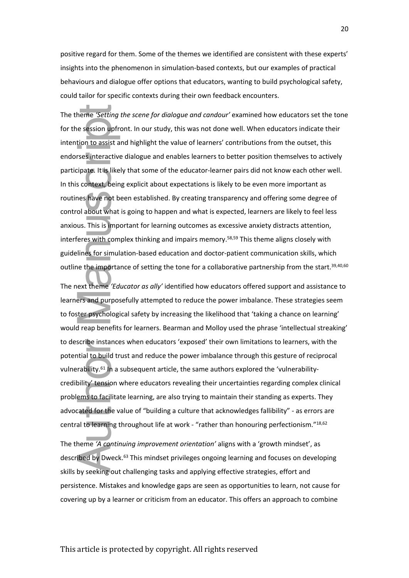positive regard for them. Some of the themes we identified are consistent with these experts' insights into the phenomenon in simulation-based contexts, but our examples of practical behaviours and dialogue offer options that educators, wanting to build psychological safety, could tailor for specific contexts during their own feedback encounters.

The theme *'Setting the scene for dialogue and candour'* examined how educators set the tone for the session upfront. In our study, this was not done well. When educators indicate their intention to assist and highlight the value of learners' contributions from the outset, this endorses interactive dialogue and enables learners to better position themselves to actively participate. It is likely that some of the educator-learner pairs did not know each other well. In this context, being explicit about expectations is likely to be even more important as routines have not been established. By creating transparency and offering some degree of control about what is going to happen and what is expected, learners are likely to feel less anxious. This is important for learning outcomes as excessive anxiety distracts attention, interferes with complex thinking and impairs memory.58,59 This theme aligns closely with guidelines for simulation-based education and doctor-patient communication skills, which outline the importance of setting the tone for a collaborative partnership from the start.<sup>39,40,60</sup> The theme "Setting the scene for dialogue and candour" examined how educators set the to<br>for the session gafront. In our study, this was not done well. When educators indicate their<br>interligion to assist and highlight the

The next theme *'Educator as ally'* identified how educators offered support and assistance to learners and purposefully attempted to reduce the power imbalance. These strategies seem to foster psychological safety by increasing the likelihood that 'taking a chance on learning' would reap benefits for learners. Bearman and Molloy used the phrase 'intellectual streaking' to describe instances when educators 'exposed' their own limitations to learners, with the potential to build trust and reduce the power imbalance through this gesture of reciprocal vulnerability.61 In a subsequent article, the same authors explored the 'vulnerabilitycredibility' tension where educators revealing their uncertainties regarding complex clinical problems to facilitate learning, are also trying to maintain their standing as experts. They advocated for the value of "building a culture that acknowledges fallibility" - as errors are central to learning throughout life at work - "rather than honouring perfectionism."18,62

The theme *'A continuing improvement orientation'* aligns with a 'growth mindset', as described by Dweck.<sup>63</sup> This mindset privileges ongoing learning and focuses on developing skills by seeking out challenging tasks and applying effective strategies, effort and persistence. Mistakes and knowledge gaps are seen as opportunities to learn, not cause for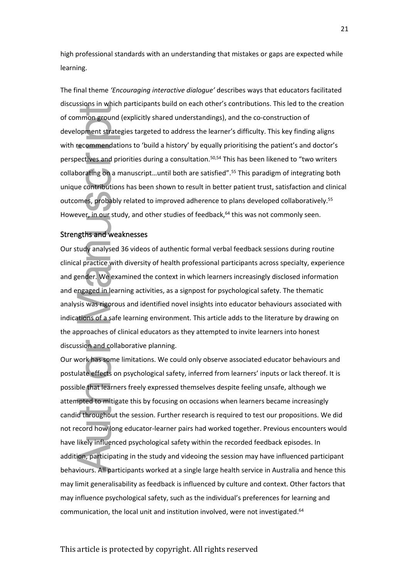high professional standards with an understanding that mistakes or gaps are expected while learning.

The final theme *'Encouraging interactive dialogue'* describes ways that educators facilitated discussions in which participants build on each other's contributions. This led to the creation of common ground (explicitly shared understandings), and the co-construction of development strategies targeted to address the learner's difficulty. This key finding aligns with recommendations to 'build a history' by equally prioritising the patient's and doctor's perspectives and priorities during a consultation.50,54 This has been likened to "two writers collaborating on a manuscript…until both are satisfied".<sup>55</sup> This paradigm of integrating both unique contributions has been shown to result in better patient trust, satisfaction and clinical outcomes, probably related to improved adherence to plans developed collaboratively.<sup>55</sup> However, in our study, and other studies of feedback, $64$  this was not commonly seen.

### Strengths and weaknesses

Our study analysed 36 videos of authentic formal verbal feedback sessions during routine clinical practice with diversity of health professional participants across specialty, experience and gender. We examined the context in which learners increasingly disclosed information and engaged in learning activities, as a signpost for psychological safety. The thematic analysis was rigorous and identified novel insights into educator behaviours associated with indications of a safe learning environment. This article adds to the literature by drawing on the approaches of clinical educators as they attempted to invite learners into honest discussion and collaborative planning.

Our work has some limitations. We could only observe associated educator behaviours and postulate effects on psychological safety, inferred from learners' inputs or lack thereof. It is possible that learners freely expressed themselves despite feeling unsafe, although we attempted to mitigate this by focusing on occasions when learners became increasingly candid throughout the session. Further research is required to test our propositions. We did not record how long educator-learner pairs had worked together. Previous encounters would have likely influenced psychological safety within the recorded feedback episodes. In addition, participating in the study and videoing the session may have influenced participant behaviours. All participants worked at a single large health service in Australia and hence this may limit generalisability as feedback is influenced by culture and context. Other factors that may influence psychological safety, such as the individual's preferences for learning and communication, the local unit and only the local unit and the re-construction of orominan ground (explicitly shared understandings), and the co-construction<br>development strategies targeted to address the learner's difficul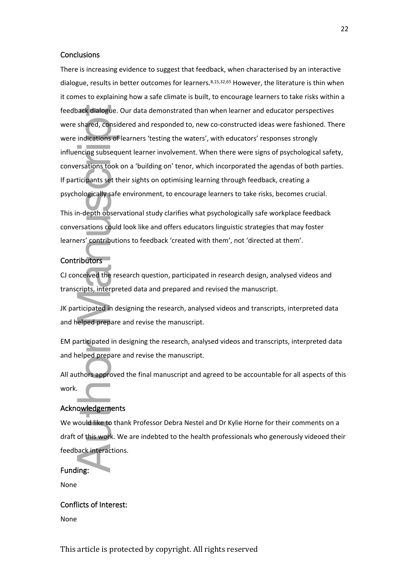### **Conclusions**

There is increasing evidence to suggest that feedback, when characterised by an interactive dialogue, results in better outcomes for learners.<sup>8,15,32,65</sup> However, the literature is thin when it comes to explaining how a safe climate is built, to encourage learners to take risks within a feedback dialogue. Our data demonstrated than when learner and educator perspectives were shared, considered and responded to, new co-constructed ideas were fashioned. There were indications of learners 'testing the waters', with educators' responses strongly influencing subsequent learner involvement. When there were signs of psychological safety, conversations took on a 'building on' tenor, which incorporated the agendas of both parties. If participants set their sights on optimising learning through feedback, creating a psychologically safe environment, to encourage learners to take risks, becomes crucial. back dialogue.<br>
shared, consider<br>
indications of<br>
incidents set therefore<br>
incidents set therefore<br>
including safe<br>
indepth obser<br>
incidents contributions<br>
respectived the recripts, interpreticipated in delined prepare<br>
ar

This in-depth observational study clarifies what psychologically safe workplace feedback conversations could look like and offers educators linguistic strategies that may foster learners' contributions to feedback 'created with them', not 'directed at them'.

### **Contributors**

CJ conceived the research question, participated in research design, analysed videos and transcripts, interpreted data and prepared and revised the manuscript.

JK participated in designing the research, analysed videos and transcripts, interpreted data and helped prepare and revise the manuscript.

EM participated in designing the research, analysed videos and transcripts, interpreted data and helped prepare and revise the manuscript.

All authors approved the final manuscript and agreed to be accountable for all aspects of this work.

### Acknowledgements

We would like to thank Professor Debra Nestel and Dr Kylie Horne for their comments on a draft of this work. We are indebted to the health professionals who generously videoed their feedback interactions.

### Funding:

None

### Conflicts of Interest:

None

22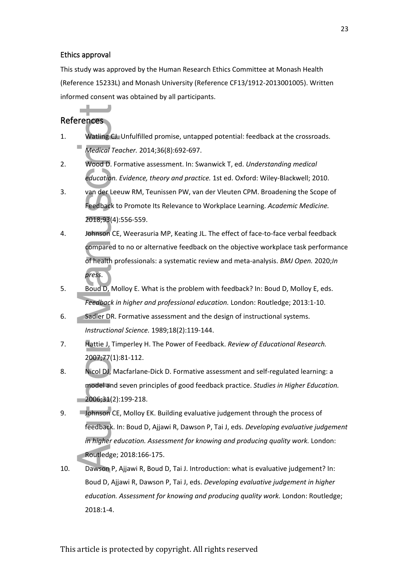### Ethics approval

This study was approved by the Human Research Ethics Committee at Monash Health (Reference 15233L) and Monash University (Reference CF13/1912-2013001005). Written informed consent was obtained by all participants.

### References

- 1. Watling CJ. Unfulfilled promise, untapped potential: feedback at the crossroads. *Medical Teacher.* 2014;36(8):692-697.
- 2. Wood D. Formative assessment. In: Swanwick T, ed. *Understanding medical education. Evidence, theory and practice.* 1st ed. Oxford: Wiley-Blackwell; 2010.
- 3. van der Leeuw RM, Teunissen PW, van der Vleuten CPM. Broadening the Scope of Feedback to Promote Its Relevance to Workplace Learning. *Academic Medicine.*  2018;93(4):556-559.
- 4. Johnson CE, Weerasuria MP, Keating JL. The effect of face-to-face verbal feedback compared to no or alternative feedback on the objective workplace task performance of health professionals: a systematic review and meta-analysis. *BMJ Open.* 2020;*In press*. rences<br>
Watling CJ.<br>
Medical Tec<br>
Wood D. Fc<br>
education.<br>
van der Lee<br>
Feedback to<br>
2018;93(4):<br>
Johnson CE<br>
compared t<br>
of health pr<br>
press.<br>
Boud D, Mc<br>
Feedback in<br>
Sadler DR. I<br>
Instructionc<br>
Hattie J, Tin<br>
2007;77(1):
- 5. Boud D, Molloy E. What is the problem with feedback? In: Boud D, Molloy E, eds. *Feedback in higher and professional education.* London: Routledge; 2013:1-10.
- 6. Sadler DR. Formative assessment and the design of instructional systems. *Instructional Science.* 1989;18(2):119-144.
- 7. Hattie J, Timperley H. The Power of Feedback. *Review of Educational Research.*  2007;77(1):81-112.
- 8. Nicol DJ, Macfarlane-Dick D. Formative assessment and self-regulated learning: a model and seven principles of good feedback practice. *Studies in Higher Education.*   $2006;31(2):199-218.$
- 9. Johnson CE, Molloy EK. Building evaluative judgement through the process of feedback. In: Boud D, Ajjawi R, Dawson P, Tai J, eds. *Developing evaluative judgement in higher education. Assessment for knowing and producing quality work.* London: Routledge; 2018:166-175.
- 10. Dawson P, Ajjawi R, Boud D, Tai J. Introduction: what is evaluative judgement? In: Boud D, Ajjawi R, Dawson P, Tai J, eds. *Developing evaluative judgement in higher education. Assessment for knowing and producing quality work.* London: Routledge;  $2018:1 - 4.$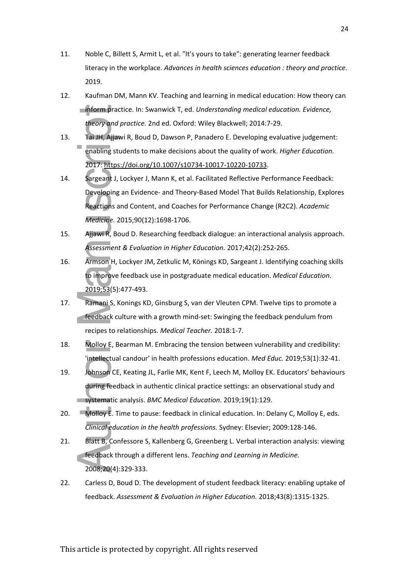- 11. Noble C, Billett S, Armit L, et al. "It's yours to take": generating learner feedback literacy in the workplace. *Advances in health sciences education : theory and practice.*  2019.
- 12. Kaufman DM, Mann KV. Teaching and learning in medical education: How theory can inform practice. In: Swanwick T, ed. *Understanding medical education. Evidence, theory and practice.* 2nd ed. Oxford: Wiley Blackwell; 2014:7-29.
- 13. Tai JH, Ajjawi R, Boud D, Dawson P, Panadero E. Developing evaluative judgement: enabling students to make decisions about the quality of work. *Higher Education.*  2017: [https://doi.org/10.1007/s10734-10017-10220-10733.](https://doi.org/10.1007/s10734-10017-10220-10733)
- 14. Sargeant J, Lockyer J, Mann K, et al. Facilitated Reflective Performance Feedback: Developing an Evidence- and Theory-Based Model That Builds Relationship, Explores Reactions and Content, and Coaches for Performance Change (R2C2). *Academic Medicine.* 2015;90(12):1698-1706. inform practice. In: Swanwick T, ed. Understonding medical education. *Evidence*<br> **Theory ond proctice:** 2nd ed. Oxford: Willey Blackwell: 2014:7-29.<br> **Call JH, Aijawi R, Boud D, Dawson P, Panadero E. Developing evaluative**
- 15. Ajjawi R, Boud D. Researching feedback dialogue: an interactional analysis approach. *Assessment & Evaluation in Higher Education.* 2017;42(2):252-265.
- 16. Armson H, Lockyer JM, Zetkulic M, Könings KD, Sargeant J. Identifying coaching skills to improve feedback use in postgraduate medical education. *Medical Education.*  2019;53(5):477-493.
- 17. Ramani S, Konings KD, Ginsburg S, van der Vleuten CPM. Twelve tips to promote a feedback culture with a growth mind-set: Swinging the feedback pendulum from recipes to relationships. *Medical Teacher.* 2018:1-7.
- 18. Molloy E, Bearman M. Embracing the tension between vulnerability and credibility: 'intellectual candour' in health professions education. *Med Educ.* 2019;53(1):32-41.
- 19. Johnson CE, Keating JL, Farlie MK, Kent F, Leech M, Molloy EK. Educators' behaviours during feedback in authentic clinical practice settings: an observational study and systematic analysis. *BMC Medical Education.* 2019;19(1):129.
- 20. Molloy E. Time to pause: feedback in clinical education. In: Delany C, Molloy E, eds. *Clinical education in the health professions.* Sydney: Elsevier; 2009:128-146.
- 21. Blatt B, Confessore S, Kallenberg G, Greenberg L. Verbal interaction analysis: viewing feedback through a different lens. *Teaching and Learning in Medicine.*  2008;20(4):329-333.
- 22. Carless D, Boud D. The development of student feedback literacy: enabling uptake of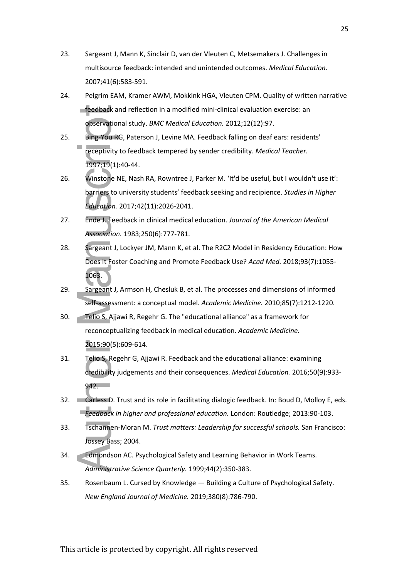- 23. Sargeant J, Mann K, Sinclair D, van der Vleuten C, Metsemakers J. Challenges in multisource feedback: intended and unintended outcomes. *Medical Education.*  2007;41(6):583-591.
- 24. Pelgrim EAM, Kramer AWM, Mokkink HGA, Vleuten CPM. Quality of written narrative feedback and reflection in a modified mini-clinical evaluation exercise: an observational study. *BMC Medical Education.* 2012;12(12):97.
- 25. Bing-You RG, Paterson J, Levine MA. Feedback falling on deaf ears: residents' receptivity to feedback tempered by sender credibility. *Medical Teacher.*  1997;19(1):40-44.
- 26. Winstone NE, Nash RA, Rowntree J, Parker M. 'It'd be useful, but I wouldn't use it': barriers to university students' feedback seeking and recipience. *Studies in Higher Education.* 2017;42(11):2026-2041.
- 27. Ende J. Feedback in clinical medical education. *Journal of the American Medical Association.* 1983;250(6):777-781.
- 28. Sargeant J, Lockyer JM, Mann K, et al. The R2C2 Model in Residency Education: How Does It Foster Coaching and Promote Feedback Use? *Acad Med.* 2018;93(7):1055- 1063.
- 29. Sargeant J, Armson H, Chesluk B, et al. The processes and dimensions of informed self-assessment: a conceptual model. *Academic Medicine.* 2010;85(7):1212-1220.
- 30. Telio S, Ajjawi R, Regehr G. The "educational alliance" as a framework for reconceptualizing feedback in medical education. *Academic Medicine.*  2015;90(5):609-614. **Example 12**<br> **New Index And reflection** in a modified mini-clinical evalu<br> **New Your RG**, Paterson J, Levine MA. Feedback falling on<br> **Teceptivity to feedback tempered by sender credibility.**<br> **New Your RG**, Paterson J, L
- 31. Telio S, Regehr G, Ajjawi R. Feedback and the educational alliance: examining credibility judgements and their consequences. *Medical Education.* 2016;50(9):933- 942.
- 32. Carless D. Trust and its role in facilitating dialogic feedback. In: Boud D, Molloy E, eds. *Feedback in higher and professional education.* London: Routledge; 2013:90-103.
- 33. Tschannen-Moran M. *Trust matters: Leadership for successful schools.* San Francisco: Jossey Bass; 2004.
- 34. Edmondson AC. Psychological Safety and Learning Behavior in Work Teams. *Administrative Science Quarterly.* 1999;44(2):350-383.
- 35. Rosenbaum L. Cursed by Knowledge Building a Culture of Psychological Safety.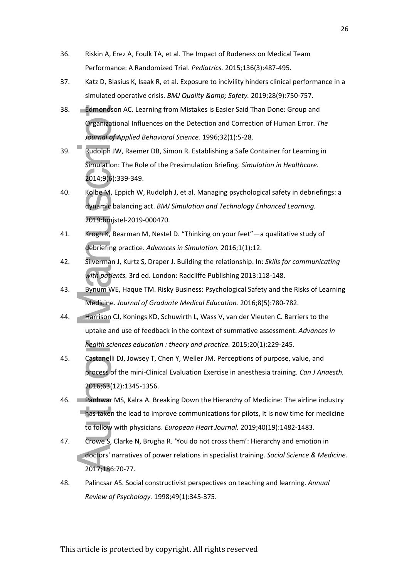- 36. Riskin A, Erez A, Foulk TA, et al. The Impact of Rudeness on Medical Team Performance: A Randomized Trial. *Pediatrics.* 2015;136(3):487-495.
- 37. Katz D, Blasius K, Isaak R, et al. Exposure to incivility hinders clinical performance in a simulated operative crisis. *BMJ Quality & amp; Safety.* 2019;28(9):750-757.
- 38. Edmondson AC. Learning from Mistakes is Easier Said Than Done: Group and Organizational Influences on the Detection and Correction of Human Error. *The Journal of Applied Behavioral Science.* 1996;32(1):5-28.
- 39. Rudolph JW, Raemer DB, Simon R. Establishing a Safe Container for Learning in Simulation: The Role of the Presimulation Briefing. *Simulation in Healthcare.*  2014;9(6):339-349.
- 40. Kolbe M, Eppich W, Rudolph J, et al. Managing psychological safety in debriefings: a dynamic balancing act. *BMJ Simulation and Technology Enhanced Learning.*  2019:bmjstel-2019-000470.
- 41. Krogh K, Bearman M, Nestel D. "Thinking on your feet"—a qualitative study of debriefing practice. *Advances in Simulation.* 2016;1(1):12.
- 42. Silverman J, Kurtz S, Draper J. Building the relationship. In: *Skills for communicating with patients.* 3rd ed. London: Radcliffe Publishing 2013:118-148.
- 43. Bynum WE, Haque TM. Risky Business: Psychological Safety and the Risks of Learning Medicine. *Journal of Graduate Medical Education.* 2016;8(5):780-782.
- 44. Harrison CJ, Konings KD, Schuwirth L, Wass V, van der Vleuten C. Barriers to the uptake and use of feedback in the context of summative assessment. *Advances in health sciences education : theory and practice.* 2015;20(1):229-245. **Edmondson AC.** Learning from Mistakes is<br> **Organizational Influences on the Detection**<br> *Reudolph JW, Raemer DB, Simon R. Establiss*<br> **Rudolph JW, Raemer DB, Simon R. Establiss**<br> **Simulation: The Role of the Presimulation**
- 45. Castanelli DJ, Jowsey T, Chen Y, Weller JM. Perceptions of purpose, value, and process of the mini-Clinical Evaluation Exercise in anesthesia training. *Can J Anaesth.*  2016;63(12):1345-1356.
- 46. Panhwar MS, Kalra A. Breaking Down the Hierarchy of Medicine: The airline industry has taken the lead to improve communications for pilots, it is now time for medicine to follow with physicians. *European Heart Journal.* 2019;40(19):1482-1483.
- 47. Crowe S, Clarke N, Brugha R. 'You do not cross them': Hierarchy and emotion in doctors' narratives of power relations in specialist training. *Social Science & Medicine.*  2017;186:70-77.
- 48. Palincsar AS. Social constructivist perspectives on teaching and learning. *Annual*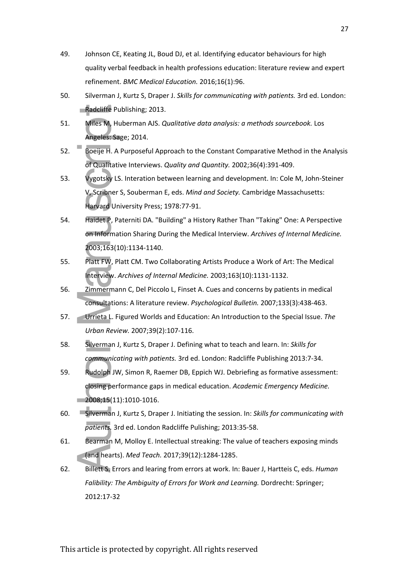- 49. Johnson CE, Keating JL, Boud DJ, et al. Identifying educator behaviours for high quality verbal feedback in health professions education: literature review and expert refinement. *BMC Medical Education.* 2016;16(1):96.
- 50. Silverman J, Kurtz S, Draper J. *Skills for communicating with patients.* 3rd ed. London: Radcliffe Publishing; 2013.
- 51. Miles M, Huberman AJS. *Qualitative data analysis: a methods sourcebook.* Los Angeles: Sage; 2014.
- 52. Boeije H. A Purposeful Approach to the Constant Comparative Method in the Analysis of Qualitative Interviews. *Quality and Quantity.* 2002;36(4):391-409.
- 53. Vygotsky LS. Interation between learning and development. In: Cole M, John-Steiner V, Scribner S, Souberman E, eds. *Mind and Society.* Cambridge Massachusetts: Harvard University Press; 1978:77-91. Radcliffe Pu<br>
Miles M, Hu<br>
Angeles: Sag<br>
Boeije H. A I<br>
of Qualitativ<br>
Vygotsky LS<br>
V, Scribner 9<br>
Harvard Uni<br>
Haidet P, Pa<br>
on Informat<br>
2003;163(10<br>
Platt FW, Pl;<br>
Interview. A<br>
Zimmerman<br>
consultatior<br>
Urrieta L. Fig<br>
- 54. Haidet P, Paterniti DA. "Building" a History Rather Than "Taking" One: A Perspective on Information Sharing During the Medical Interview. *Archives of Internal Medicine.*  2003;163(10):1134-1140.
- 55. Platt FW, Platt CM. Two Collaborating Artists Produce a Work of Art: The Medical Interview. *Archives of Internal Medicine.* 2003;163(10):1131-1132.
- 56. Zimmermann C, Del Piccolo L, Finset A. Cues and concerns by patients in medical consultations: A literature review. *Psychological Bulletin.* 2007;133(3):438-463.
- 57. Urrieta L. Figured Worlds and Education: An Introduction to the Special Issue. *The Urban Review.* 2007;39(2):107-116.
- 58. Silverman J, Kurtz S, Draper J. Defining what to teach and learn. In: *Skills for communicating with patients.* 3rd ed. London: Radcliffe Publishing 2013:7-34.
- 59. Rudolph JW, Simon R, Raemer DB, Eppich WJ. Debriefing as formative assessment: closing performance gaps in medical education. *Academic Emergency Medicine.*   $2008;15(11):1010-1016.$
- 60. Silverman J, Kurtz S, Draper J. Initiating the session. In: *Skills for communicating with patients.* 3rd ed. London Radcliffe Pulishing; 2013:35-58.
- 61. Bearman M, Molloy E. Intellectual streaking: The value of teachers exposing minds (and hearts). *Med Teach.* 2017;39(12):1284-1285.
- 62. Billett S. Errors and learing from errors at work. In: Bauer J, Hartteis C, eds. *Human Falibility: The Ambiguity of Errors for Work and Learning.* Dordrecht: Springer; 2012:17-32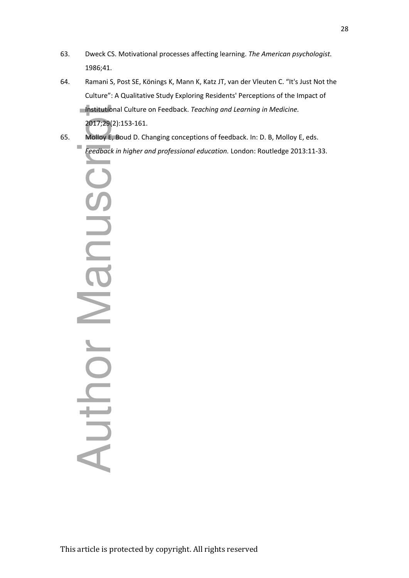- 63. Dweck CS. Motivational processes affecting learning. *The American psychologist.*  1986;41.
- 64. Ramani S, Post SE, Könings K, Mann K, Katz JT, van der Vleuten C. "It's Just Not the Culture": A Qualitative Study Exploring Residents' Perceptions of the Impact of Institutional Culture on Feedback. *Teaching and Learning in Medicine.*  2017;29(2):153-161.
- 65. Molloy E, Boud D. Changing conceptions of feedback. In: D. B, Molloy E, eds.

*Feedback in higher and professional education.* London: Routledge 2013:11-33. Author Manuscript